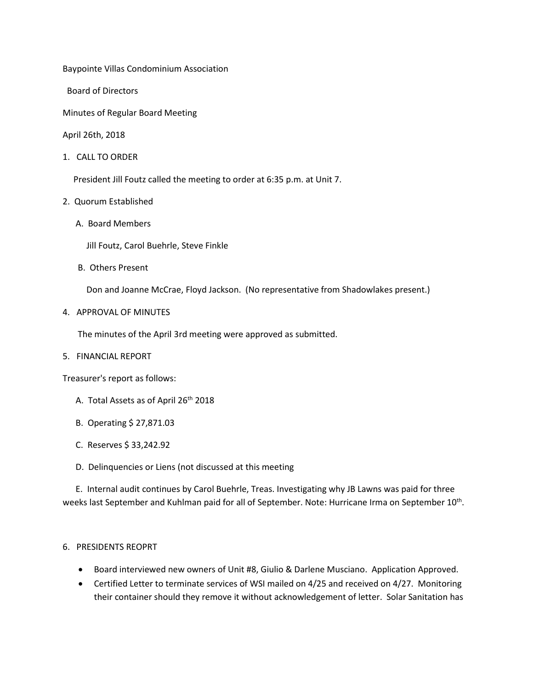Baypointe Villas Condominium Association

Board of Directors

Minutes of Regular Board Meeting

April 26th, 2018

1. CALL TO ORDER

President Jill Foutz called the meeting to order at 6:35 p.m. at Unit 7.

- 2. Quorum Established
	- A. Board Members

Jill Foutz, Carol Buehrle, Steve Finkle

B. Others Present

Don and Joanne McCrae, Floyd Jackson. (No representative from Shadowlakes present.)

4. APPROVAL OF MINUTES

The minutes of the April 3rd meeting were approved as submitted.

5. FINANCIAL REPORT

Treasurer's report as follows:

- A. Total Assets as of April 26<sup>th</sup> 2018
- B. Operating \$ 27,871.03
- C. Reserves \$ 33,242.92
- D. Delinquencies or Liens (not discussed at this meeting

 E. Internal audit continues by Carol Buehrle, Treas. Investigating why JB Lawns was paid for three weeks last September and Kuhlman paid for all of September. Note: Hurricane Irma on September 10<sup>th</sup>.

## 6. PRESIDENTS REOPRT

- Board interviewed new owners of Unit #8, Giulio & Darlene Musciano. Application Approved.
- Certified Letter to terminate services of WSI mailed on 4/25 and received on 4/27. Monitoring their container should they remove it without acknowledgement of letter. Solar Sanitation has